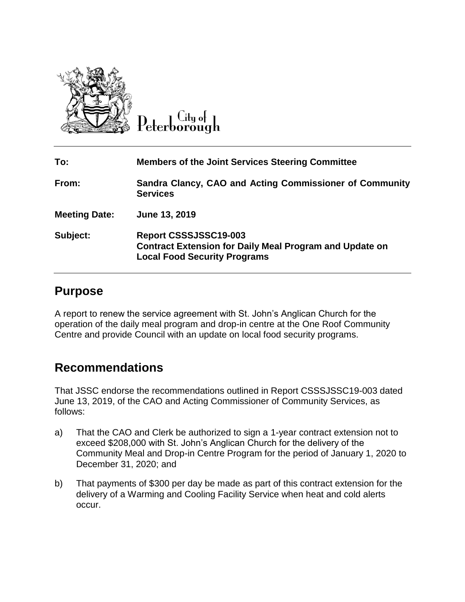

 $\overline{C}$ ity of eterborough

| To:                  | <b>Members of the Joint Services Steering Committee</b>                                                                        |
|----------------------|--------------------------------------------------------------------------------------------------------------------------------|
| From:                | Sandra Clancy, CAO and Acting Commissioner of Community<br><b>Services</b>                                                     |
| <b>Meeting Date:</b> | June 13, 2019                                                                                                                  |
| Subject:             | Report CSSSJSSC19-003<br><b>Contract Extension for Daily Meal Program and Update on</b><br><b>Local Food Security Programs</b> |

## **Purpose**

A report to renew the service agreement with St. John's Anglican Church for the operation of the daily meal program and drop-in centre at the One Roof Community Centre and provide Council with an update on local food security programs.

## **Recommendations**

That JSSC endorse the recommendations outlined in Report CSSSJSSC19-003 dated June 13, 2019, of the CAO and Acting Commissioner of Community Services, as follows:

- a) That the CAO and Clerk be authorized to sign a 1-year contract extension not to exceed \$208,000 with St. John's Anglican Church for the delivery of the Community Meal and Drop-in Centre Program for the period of January 1, 2020 to December 31, 2020; and
- b) That payments of \$300 per day be made as part of this contract extension for the delivery of a Warming and Cooling Facility Service when heat and cold alerts occur.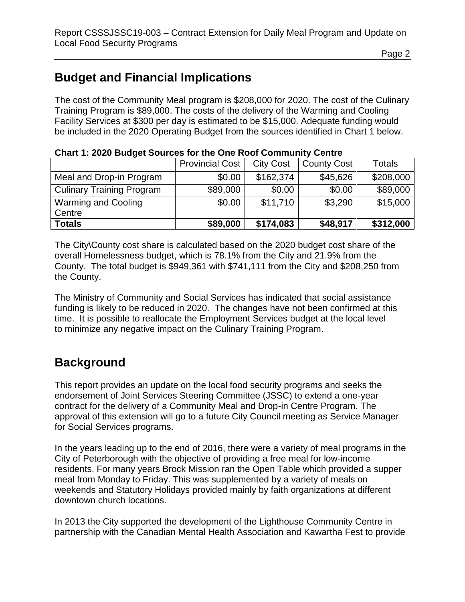# **Budget and Financial Implications**

The cost of the Community Meal program is \$208,000 for 2020. The cost of the Culinary Training Program is \$89,000. The costs of the delivery of the Warming and Cooling Facility Services at \$300 per day is estimated to be \$15,000. Adequate funding would be included in the 2020 Operating Budget from the sources identified in Chart 1 below.

| <u> Siinii II Eded baaqol sani soo isi iiis siis ilgai soiiiiiimiiil soiiii</u> |                        |                  |                    |           |  |  |
|---------------------------------------------------------------------------------|------------------------|------------------|--------------------|-----------|--|--|
|                                                                                 | <b>Provincial Cost</b> | <b>City Cost</b> | <b>County Cost</b> | Totals    |  |  |
| Meal and Drop-in Program                                                        | \$0.00                 | \$162,374        | \$45,626           | \$208,000 |  |  |
| <b>Culinary Training Program</b>                                                | \$89,000               | \$0.00           | \$0.00             | \$89,000  |  |  |
| <b>Warming and Cooling</b>                                                      | \$0.00                 | \$11,710         | \$3,290            | \$15,000  |  |  |
| Centre                                                                          |                        |                  |                    |           |  |  |
| <b>Totals</b>                                                                   | \$89,000               | \$174,083        | \$48,917           | \$312,000 |  |  |

### **Chart 1: 2020 Budget Sources for the One Roof Community Centre**

The City\County cost share is calculated based on the 2020 budget cost share of the overall Homelessness budget, which is 78.1% from the City and 21.9% from the County. The total budget is \$949,361 with \$741,111 from the City and \$208,250 from the County.

The Ministry of Community and Social Services has indicated that social assistance funding is likely to be reduced in 2020. The changes have not been confirmed at this time. It is possible to reallocate the Employment Services budget at the local level to minimize any negative impact on the Culinary Training Program.

## **Background**

This report provides an update on the local food security programs and seeks the endorsement of Joint Services Steering Committee (JSSC) to extend a one-year contract for the delivery of a Community Meal and Drop-in Centre Program. The approval of this extension will go to a future City Council meeting as Service Manager for Social Services programs.

In the years leading up to the end of 2016, there were a variety of meal programs in the City of Peterborough with the objective of providing a free meal for low-income residents. For many years Brock Mission ran the Open Table which provided a supper meal from Monday to Friday. This was supplemented by a variety of meals on weekends and Statutory Holidays provided mainly by faith organizations at different downtown church locations.

In 2013 the City supported the development of the Lighthouse Community Centre in partnership with the Canadian Mental Health Association and Kawartha Fest to provide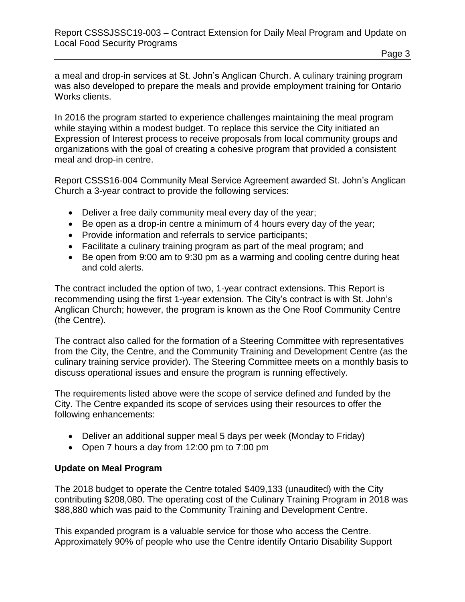a meal and drop-in services at St. John's Anglican Church. A culinary training program was also developed to prepare the meals and provide employment training for Ontario Works clients.

In 2016 the program started to experience challenges maintaining the meal program while staying within a modest budget. To replace this service the City initiated an Expression of Interest process to receive proposals from local community groups and organizations with the goal of creating a cohesive program that provided a consistent meal and drop-in centre.

Report CSSS16-004 Community Meal Service Agreement awarded St. John's Anglican Church a 3-year contract to provide the following services:

- Deliver a free daily community meal every day of the year;
- Be open as a drop-in centre a minimum of 4 hours every day of the year;
- Provide information and referrals to service participants;
- Facilitate a culinary training program as part of the meal program; and
- Be open from 9:00 am to 9:30 pm as a warming and cooling centre during heat and cold alerts.

The contract included the option of two, 1-year contract extensions. This Report is recommending using the first 1-year extension. The City's contract is with St. John's Anglican Church; however, the program is known as the One Roof Community Centre (the Centre).

The contract also called for the formation of a Steering Committee with representatives from the City, the Centre, and the Community Training and Development Centre (as the culinary training service provider). The Steering Committee meets on a monthly basis to discuss operational issues and ensure the program is running effectively.

The requirements listed above were the scope of service defined and funded by the City. The Centre expanded its scope of services using their resources to offer the following enhancements:

- Deliver an additional supper meal 5 days per week (Monday to Friday)
- Open 7 hours a day from 12:00 pm to 7:00 pm

### **Update on Meal Program**

The 2018 budget to operate the Centre totaled \$409,133 (unaudited) with the City contributing \$208,080. The operating cost of the Culinary Training Program in 2018 was \$88,880 which was paid to the Community Training and Development Centre.

This expanded program is a valuable service for those who access the Centre. Approximately 90% of people who use the Centre identify Ontario Disability Support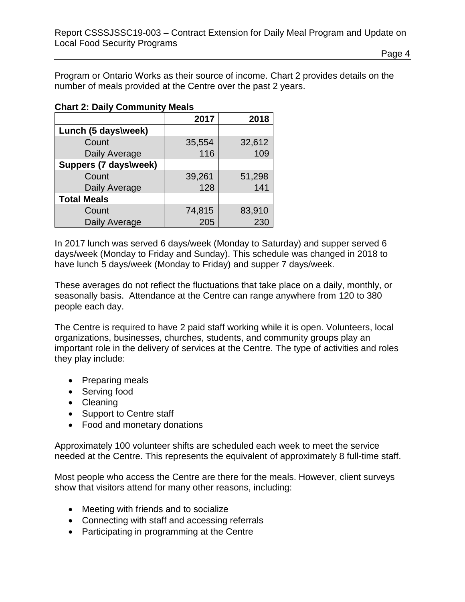Program or Ontario Works as their source of income. Chart 2 provides details on the number of meals provided at the Centre over the past 2 years.

|  | <b>Chart 2: Daily Community Meals</b> |  |
|--|---------------------------------------|--|
|  |                                       |  |

|                       | 2017   | 2018   |
|-----------------------|--------|--------|
| Lunch (5 days\week)   |        |        |
| Count                 | 35,554 | 32,612 |
| Daily Average         | 116    | 109    |
| Suppers (7 days\week) |        |        |
| Count                 | 39,261 | 51,298 |
| Daily Average         | 128    | 141    |
| <b>Total Meals</b>    |        |        |
| Count                 | 74,815 | 83,910 |
| Daily Average         | 205    | 230    |

In 2017 lunch was served 6 days/week (Monday to Saturday) and supper served 6 days/week (Monday to Friday and Sunday). This schedule was changed in 2018 to have lunch 5 days/week (Monday to Friday) and supper 7 days/week.

These averages do not reflect the fluctuations that take place on a daily, monthly, or seasonally basis. Attendance at the Centre can range anywhere from 120 to 380 people each day.

The Centre is required to have 2 paid staff working while it is open. Volunteers, local organizations, businesses, churches, students, and community groups play an important role in the delivery of services at the Centre. The type of activities and roles they play include:

- Preparing meals
- Serving food
- Cleaning
- Support to Centre staff
- Food and monetary donations

Approximately 100 volunteer shifts are scheduled each week to meet the service needed at the Centre. This represents the equivalent of approximately 8 full-time staff.

Most people who access the Centre are there for the meals. However, client surveys show that visitors attend for many other reasons, including:

- Meeting with friends and to socialize
- Connecting with staff and accessing referrals
- Participating in programming at the Centre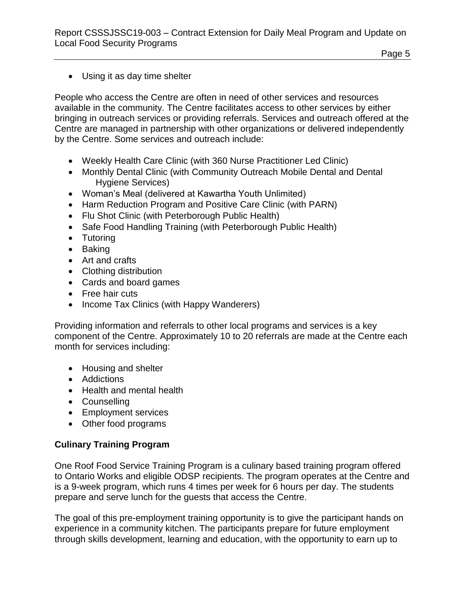Using it as day time shelter

People who access the Centre are often in need of other services and resources available in the community. The Centre facilitates access to other services by either bringing in outreach services or providing referrals. Services and outreach offered at the Centre are managed in partnership with other organizations or delivered independently by the Centre. Some services and outreach include:

- Weekly Health Care Clinic (with 360 Nurse Practitioner Led Clinic)
- Monthly Dental Clinic (with Community Outreach Mobile Dental and Dental Hygiene Services)
- Woman's Meal (delivered at Kawartha Youth Unlimited)
- Harm Reduction Program and Positive Care Clinic (with PARN)
- Flu Shot Clinic (with Peterborough Public Health)
- Safe Food Handling Training (with Peterborough Public Health)
- Tutoring
- Baking
- Art and crafts
- Clothing distribution
- Cards and board games
- Free hair cuts
- Income Tax Clinics (with Happy Wanderers)

Providing information and referrals to other local programs and services is a key component of the Centre. Approximately 10 to 20 referrals are made at the Centre each month for services including:

- Housing and shelter
- Addictions
- Health and mental health
- Counselling
- Employment services
- Other food programs

## **Culinary Training Program**

One Roof Food Service Training Program is a culinary based training program offered to Ontario Works and eligible ODSP recipients. The program operates at the Centre and is a 9-week program, which runs 4 times per week for 6 hours per day. The students prepare and serve lunch for the guests that access the Centre.

The goal of this pre-employment training opportunity is to give the participant hands on experience in a community kitchen. The participants prepare for future employment through skills development, learning and education, with the opportunity to earn up to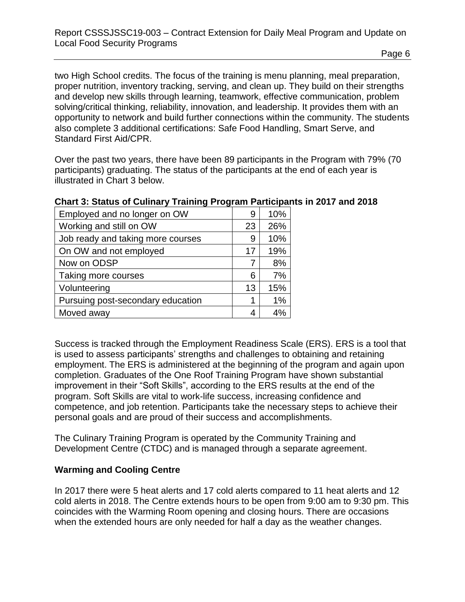two High School credits. The focus of the training is menu planning, meal preparation, proper nutrition, inventory tracking, serving, and clean up. They build on their strengths and develop new skills through learning, teamwork, effective communication, problem solving/critical thinking, reliability, innovation, and leadership. It provides them with an opportunity to network and build further connections within the community. The students also complete 3 additional certifications: Safe Food Handling, Smart Serve, and Standard First Aid/CPR.

Over the past two years, there have been 89 participants in the Program with 79% (70 participants) graduating. The status of the participants at the end of each year is illustrated in Chart 3 below.

| Employed and no longer on OW      | 9  | 10%  |
|-----------------------------------|----|------|
| Working and still on OW           | 23 | 26%  |
| Job ready and taking more courses | 9  | 10%  |
| On OW and not employed            | 17 | 19%  |
| Now on ODSP                       |    | 8%   |
| Taking more courses               | 6  | 7%   |
| Volunteering                      | 13 | 15%  |
| Pursuing post-secondary education |    | 1%   |
| Moved away                        |    | 10/. |

## **Chart 3: Status of Culinary Training Program Participants in 2017 and 2018**

Success is tracked through the Employment Readiness Scale (ERS). ERS is a tool that is used to assess participants' strengths and challenges to obtaining and retaining employment. The ERS is administered at the beginning of the program and again upon completion. Graduates of the One Roof Training Program have shown substantial improvement in their "Soft Skills", according to the ERS results at the end of the program. Soft Skills are vital to work-life success, increasing confidence and competence, and job retention. Participants take the necessary steps to achieve their personal goals and are proud of their success and accomplishments.

The Culinary Training Program is operated by the Community Training and Development Centre (CTDC) and is managed through a separate agreement.

## **Warming and Cooling Centre**

In 2017 there were 5 heat alerts and 17 cold alerts compared to 11 heat alerts and 12 cold alerts in 2018. The Centre extends hours to be open from 9:00 am to 9:30 pm. This coincides with the Warming Room opening and closing hours. There are occasions when the extended hours are only needed for half a day as the weather changes.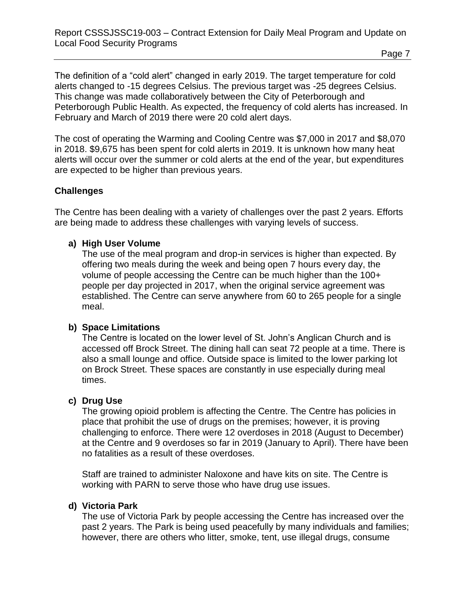The definition of a "cold alert" changed in early 2019. The target temperature for cold alerts changed to -15 degrees Celsius. The previous target was -25 degrees Celsius. This change was made collaboratively between the City of Peterborough and Peterborough Public Health. As expected, the frequency of cold alerts has increased. In February and March of 2019 there were 20 cold alert days.

The cost of operating the Warming and Cooling Centre was \$7,000 in 2017 and \$8,070 in 2018. \$9,675 has been spent for cold alerts in 2019. It is unknown how many heat alerts will occur over the summer or cold alerts at the end of the year, but expenditures are expected to be higher than previous years.

## **Challenges**

The Centre has been dealing with a variety of challenges over the past 2 years. Efforts are being made to address these challenges with varying levels of success.

### **a) High User Volume**

The use of the meal program and drop-in services is higher than expected. By offering two meals during the week and being open 7 hours every day, the volume of people accessing the Centre can be much higher than the 100+ people per day projected in 2017, when the original service agreement was established. The Centre can serve anywhere from 60 to 265 people for a single meal.

### **b) Space Limitations**

The Centre is located on the lower level of St. John's Anglican Church and is accessed off Brock Street. The dining hall can seat 72 people at a time. There is also a small lounge and office. Outside space is limited to the lower parking lot on Brock Street. These spaces are constantly in use especially during meal times.

### **c) Drug Use**

The growing opioid problem is affecting the Centre. The Centre has policies in place that prohibit the use of drugs on the premises; however, it is proving challenging to enforce. There were 12 overdoses in 2018 (August to December) at the Centre and 9 overdoses so far in 2019 (January to April). There have been no fatalities as a result of these overdoses.

Staff are trained to administer Naloxone and have kits on site. The Centre is working with PARN to serve those who have drug use issues.

### **d) Victoria Park**

The use of Victoria Park by people accessing the Centre has increased over the past 2 years. The Park is being used peacefully by many individuals and families; however, there are others who litter, smoke, tent, use illegal drugs, consume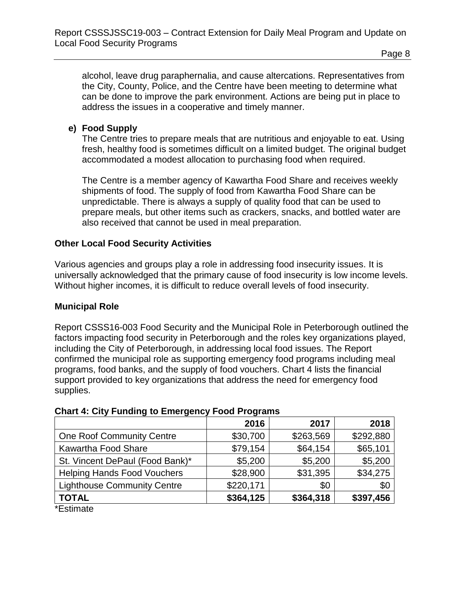alcohol, leave drug paraphernalia, and cause altercations. Representatives from the City, County, Police, and the Centre have been meeting to determine what can be done to improve the park environment. Actions are being put in place to address the issues in a cooperative and timely manner.

## **e) Food Supply**

The Centre tries to prepare meals that are nutritious and enjoyable to eat. Using fresh, healthy food is sometimes difficult on a limited budget. The original budget accommodated a modest allocation to purchasing food when required.

The Centre is a member agency of Kawartha Food Share and receives weekly shipments of food. The supply of food from Kawartha Food Share can be unpredictable. There is always a supply of quality food that can be used to prepare meals, but other items such as crackers, snacks, and bottled water are also received that cannot be used in meal preparation.

## **Other Local Food Security Activities**

Various agencies and groups play a role in addressing food insecurity issues. It is universally acknowledged that the primary cause of food insecurity is low income levels. Without higher incomes, it is difficult to reduce overall levels of food insecurity.

### **Municipal Role**

Report CSSS16-003 Food Security and the Municipal Role in Peterborough outlined the factors impacting food security in Peterborough and the roles key organizations played, including the City of Peterborough, in addressing local food issues. The Report confirmed the municipal role as supporting emergency food programs including meal programs, food banks, and the supply of food vouchers. Chart 4 lists the financial support provided to key organizations that address the need for emergency food supplies.

### **Chart 4: City Funding to Emergency Food Programs**

|                                    | 2016      | 2017      | 2018      |
|------------------------------------|-----------|-----------|-----------|
| <b>One Roof Community Centre</b>   | \$30,700  | \$263,569 | \$292,880 |
| Kawartha Food Share                | \$79,154  | \$64,154  | \$65,101  |
| St. Vincent DePaul (Food Bank)*    | \$5,200   | \$5,200   | \$5,200   |
| <b>Helping Hands Food Vouchers</b> | \$28,900  | \$31,395  | \$34,275  |
| <b>Lighthouse Community Centre</b> | \$220,171 | \$0       | \$0       |
| <b>TOTAL</b>                       | \$364,125 | \$364,318 | \$397,456 |
| $*$ $\Gamma$ at the at $\sim$      |           |           |           |

Estimate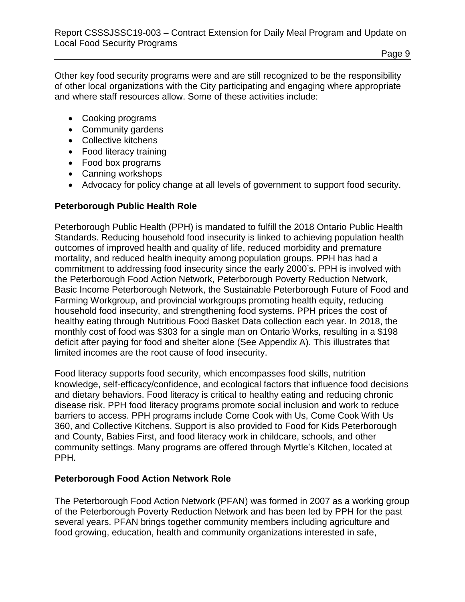Other key food security programs were and are still recognized to be the responsibility of other local organizations with the City participating and engaging where appropriate and where staff resources allow. Some of these activities include:

- Cooking programs
- Community gardens
- Collective kitchens
- Food literacy training
- Food box programs
- Canning workshops
- Advocacy for policy change at all levels of government to support food security.

### **Peterborough Public Health Role**

Peterborough Public Health (PPH) is mandated to fulfill the 2018 Ontario Public Health Standards. Reducing household food insecurity is linked to achieving population health outcomes of improved health and quality of life, reduced morbidity and premature mortality, and reduced health inequity among population groups. PPH has had a commitment to addressing food insecurity since the early 2000's. PPH is involved with the Peterborough Food Action Network, Peterborough Poverty Reduction Network, Basic Income Peterborough Network, the Sustainable Peterborough Future of Food and Farming Workgroup, and provincial workgroups promoting health equity, reducing household food insecurity, and strengthening food systems. PPH prices the cost of healthy eating through Nutritious Food Basket Data collection each year. In [2018,](https://www.peterboroughpublichealth.ca/wp-content/uploads/2018/10/2018-Limited-Incomes.pdf) the monthly cost of food was \$303 for a single man on Ontario Works, resulting in a \$198 deficit after paying for food and shelter alone (See Appendix A). This illustrates that limited incomes are the root cause of food insecurity.

Food literacy supports food security, which encompasses food skills, nutrition knowledge, self-efficacy/confidence, and ecological factors that influence food decisions and dietary behaviors. Food literacy is critical to healthy eating and reducing chronic disease risk. PPH food literacy programs promote social inclusion and work to reduce barriers to access. PPH programs include Come Cook with Us, Come Cook With Us 360, and Collective Kitchens. Support is also provided to Food for Kids Peterborough and County, Babies First, and food literacy work in childcare, schools, and other community settings. Many programs are offered through Myrtle's Kitchen, located at PPH.

### **Peterborough Food Action Network Role**

The Peterborough Food Action Network (PFAN) was formed in 2007 as a working group of the Peterborough Poverty Reduction Network and has been led by PPH for the past several years. PFAN brings together community members including agriculture and food growing, education, health and community organizations interested in safe,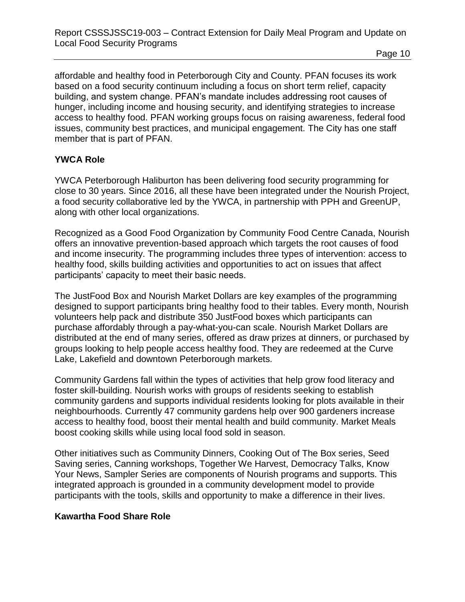affordable and healthy food in Peterborough City and County. PFAN focuses its work based on a food security continuum including a focus on short term relief, capacity building, and system change. PFAN's mandate includes addressing root causes of hunger, including income and housing security, and identifying strategies to increase access to healthy food. PFAN working groups focus on raising awareness, federal food issues, community best practices, and municipal engagement. The City has one staff member that is part of PFAN.

## **YWCA Role**

YWCA Peterborough Haliburton has been delivering food security programming for close to 30 years. Since 2016, all these have been integrated under the Nourish Project, a food security collaborative led by the YWCA, in partnership with PPH and GreenUP, along with other local organizations.

Recognized as a Good Food Organization by Community Food Centre Canada, Nourish offers an innovative prevention-based approach which targets the root causes of food and income insecurity. The programming includes three types of intervention: access to healthy food, skills building activities and opportunities to act on issues that affect participants' capacity to meet their basic needs.

The JustFood Box and Nourish Market Dollars are key examples of the programming designed to support participants bring healthy food to their tables. Every month, Nourish volunteers help pack and distribute 350 JustFood boxes which participants can purchase affordably through a pay-what-you-can scale. Nourish Market Dollars are distributed at the end of many series, offered as draw prizes at dinners, or purchased by groups looking to help people access healthy food. They are redeemed at the Curve Lake, Lakefield and downtown Peterborough markets.

Community Gardens fall within the types of activities that help grow food literacy and foster skill-building. Nourish works with groups of residents seeking to establish community gardens and supports individual residents looking for plots available in their neighbourhoods. Currently 47 community gardens help over 900 gardeners increase access to healthy food, boost their mental health and build community. Market Meals boost cooking skills while using local food sold in season.

Other initiatives such as Community Dinners, Cooking Out of The Box series, Seed Saving series, Canning workshops, Together We Harvest, Democracy Talks, Know Your News, Sampler Series are components of Nourish programs and supports. This integrated approach is grounded in a community development model to provide participants with the tools, skills and opportunity to make a difference in their lives.

## **Kawartha Food Share Role**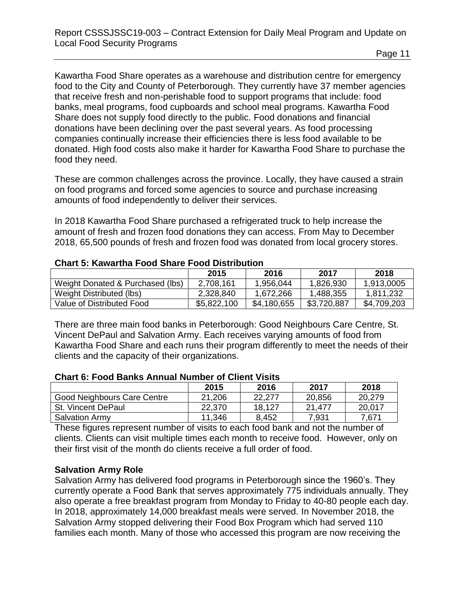Kawartha Food Share operates as a warehouse and distribution centre for emergency food to the City and County of Peterborough. They currently have 37 member agencies that receive fresh and non-perishable food to support programs that include: food banks, meal programs, food cupboards and school meal programs. Kawartha Food Share does not supply food directly to the public. Food donations and financial donations have been declining over the past several years. As food processing companies continually increase their efficiencies there is less food available to be donated. High food costs also make it harder for Kawartha Food Share to purchase the food they need.

These are common challenges across the province. Locally, they have caused a strain on food programs and forced some agencies to source and purchase increasing amounts of food independently to deliver their services.

In 2018 Kawartha Food Share purchased a refrigerated truck to help increase the amount of fresh and frozen food donations they can access. From May to December 2018, 65,500 pounds of fresh and frozen food was donated from local grocery stores.

## **Chart 5: Kawartha Food Share Food Distribution**

|                                  | 2015        | 2016        | 2017        | 2018        |
|----------------------------------|-------------|-------------|-------------|-------------|
| Weight Donated & Purchased (lbs) | 2,708,161   | 1,956,044   | 1,826,930   | 1,913,0005  |
| Weight Distributed (lbs)         | 2,328,840   | 1,672,266   | 1,488,355   | 1,811,232   |
| Value of Distributed Food        | \$5,822,100 | \$4,180,655 | \$3,720,887 | \$4,709,203 |

There are three main food banks in Peterborough: Good Neighbours Care Centre, St. Vincent DePaul and Salvation Army. Each receives varying amounts of food from Kawartha Food Share and each runs their program differently to meet the needs of their clients and the capacity of their organizations.

#### **Chart 6: Food Banks Annual Number of Client Visits**

|                             | 2015   | 2016   | 2017   | 2018   |
|-----------------------------|--------|--------|--------|--------|
| Good Neighbours Care Centre | 21,206 | 22.277 | 20,856 | 20,279 |
| St. Vincent DePaul          | 22,370 | 18.127 | 21.477 | 20,017 |
| <b>Salvation Army</b>       | 11,346 | 8,452  | 7,931  | 7,671  |

These figures represent number of visits to each food bank and not the number of clients. Clients can visit multiple times each month to receive food. However, only on their first visit of the month do clients receive a full order of food.

### **Salvation Army Role**

Salvation Army has delivered food programs in Peterborough since the 1960's. They currently operate a Food Bank that serves approximately 775 individuals annually. They also operate a free breakfast program from Monday to Friday to 40-80 people each day. In 2018, approximately 14,000 breakfast meals were served. In November 2018, the Salvation Army stopped delivering their Food Box Program which had served 110 families each month. Many of those who accessed this program are now receiving the